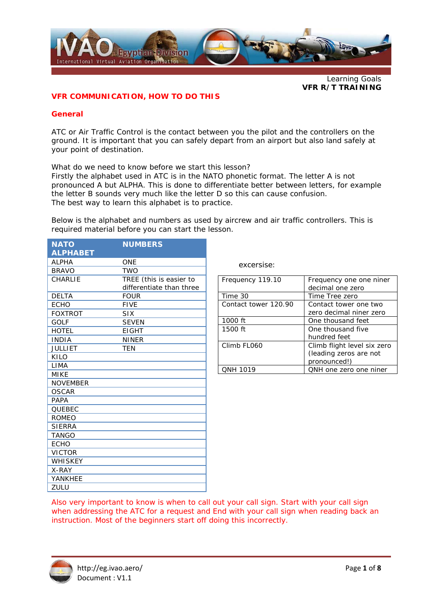

Learning Goals **VFR R/T TRAINING** 

### **VFR COMMUNICATION, HOW TO DO THIS**

#### **General**

ATC or Air Traffic Control is the contact between you the pilot and the controllers on the ground. It is important that you can safely depart from an airport but also land safely at your point of destination.

What do we need to know before we start this lesson?

Firstly the alphabet used in ATC is in the NATO phonetic format. The letter A is not pronounced A but ALPHA. This is done to differentiate better between letters, for example the letter B sounds very much like the letter D so this can cause confusion. The best way to learn this alphabet is to practice.

Below is the alphabet and numbers as used by aircrew and air traffic controllers. This is required material before you can start the lesson.

| <b>NATO</b>     | <b>NUMBERS</b>           |
|-----------------|--------------------------|
| <b>ALPHABET</b> |                          |
| <b>ALPHA</b>    | <b>ONE</b>               |
| <b>BRAVO</b>    | <b>TWO</b>               |
| CHARLIE         | TREE (this is easier to  |
|                 | differentiate than three |
| <b>DELTA</b>    | <b>FOUR</b>              |
| <b>ECHO</b>     | <b>FIVE</b>              |
| <b>FOXTROT</b>  | <b>SIX</b>               |
| <b>GOLF</b>     | <b>SEVEN</b>             |
| <b>HOTEL</b>    | <b>EIGHT</b>             |
| <b>INDIA</b>    | <b>NINER</b>             |
| <b>JULLIET</b>  | <b>TEN</b>               |
| KILO            |                          |
| LIMA            |                          |
| MIKE            |                          |
| <b>NOVEMBER</b> |                          |
| <b>OSCAR</b>    |                          |
| <b>PAPA</b>     |                          |
| <b>OUEBEC</b>   |                          |
| <b>ROMEO</b>    |                          |
| <b>SIERRA</b>   |                          |
| <b>TANGO</b>    |                          |
| <b>ECHO</b>     |                          |
| <b>VICTOR</b>   |                          |
| <b>WHISKEY</b>  |                          |
| X-RAY           |                          |
| YANKHEE         |                          |
| ZULU            |                          |

excersise:

| Frequency 119.10     | Frequency one one niner<br>decimal one zero |
|----------------------|---------------------------------------------|
|                      |                                             |
| Time 30              | Time Tree zero                              |
| Contact tower 120.90 | Contact tower one two                       |
|                      | zero decimal niner zero                     |
| 1000 ft              | One thousand feet                           |
| 1500 ft              | One thousand five                           |
|                      | hundred feet                                |
| Climb FL060          | Climb flight level six zero                 |
|                      | (leading zeros are not                      |
|                      | pronounced!)                                |
| <b>ONH 1019</b>      | QNH one zero one niner                      |

Also very important to know is when to call out your call sign. Start with your call sign when addressing the ATC for a request and End with your call sign when reading back an instruction. Most of the beginners start off doing this incorrectly.

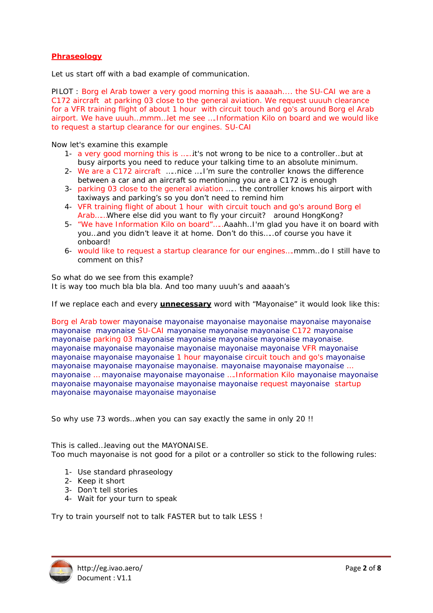### **Phraseology**

Let us start off with a bad example of communication.

PILOT : Borg el Arab tower a very good morning this is aaaaah.... the SU-CAI we are a C172 aircraft at parking 03 close to the general aviation. We request uuuuh clearance for a VFR training flight of about 1 hour with circuit touch and go's around Borg el Arab airport. We have uuuh…mmm…let me see ….Information Kilo on board and we would like to request a startup clearance for our engines. SU-CAI

Now let's examine this example

- 1- a very good morning this is ……it's not wrong to be nice to a controller…but at busy airports you need to reduce your talking time to an absolute minimum.
- 2- We are a C172 aircraft …..nice ….I'm sure the controller knows the difference between a car and an aircraft so mentioning you are a C172 is enough
- 3- parking 03 close to the general aviation ….. the controller knows his airport with taxiways and parking's so you don't need to remind him
- 4- VFR training flight of about 1 hour with circuit touch and go's around Borg el Arab……Where else did you want to fly your circuit? around HongKong?
- 5- "We have Information Kilo on board"…..Aaahh..I'm glad you have it on board with you…and you didn't leave it at home. Don't do this…..of course you have it onboard!
- 6- would like to request a startup clearance for our engines….mmm..do I still have to comment on this?

So what do we see from this example? It is way too much bla bla bla. And too many uuuh's and aaaah's

If we replace each and every **unnecessary** word with "Mayonaise" it would look like this:

Borg el Arab tower mayonaise mayonaise mayonaise mayonaise mayonaise mayonaise mayonaise mayonaise SU-CAI mayonaise mayonaise mayonaise C172 mayonaise mayonaise parking 03 mayonaise mayonaise mayonaise mayonaise mayonaise. mayonaise mayonaise mayonaise mayonaise mayonaise mayonaise VFR mayonaise mayonaise mayonaise mayonaise 1 hour mayonaise circuit touch and go's mayonaise mayonaise mayonaise mayonaise mayonaise. mayonaise mayonaise mayonaise … mayonaise … mayonaise mayonaise mayonaise ….Information Kilo mayonaise mayonaise mayonaise mayonaise mayonaise mayonaise mayonaise request mayonaise startup mayonaise mayonaise mayonaise mayonaise

So why use 73 words…when you can say exactly the same in only 20 !!

This is called…leaving out the MAYONAISE. Too much mayonaise is not good for a pilot or a controller so stick to the following rules:

- 1- Use standard phraseology
- 2- Keep it short
- 3- Don't tell stories
- 4- Wait for your turn to speak

Try to train yourself not to talk FASTER but to talk LESS !

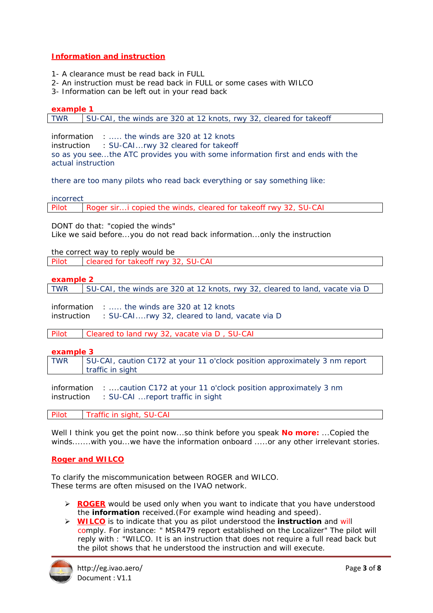# **Information and instruction**

- 1- A clearance must be read back in FULL
- 2- An instruction must be read back in FULL or some cases with WILCO
- 3- Information can be left out in your read back

**example 1**  TWR SU-CAI, the winds are 320 at 12 knots, rwy 32, cleared for takeoff

information : ..... the winds are 320 at 12 knots instruction : SU-CAI...rwy 32 cleared for takeoff so as you see...the ATC provides you with some information first and ends with the actual instruction

there are too many pilots who read back everything or say something like:

incorrect

Pilot Roger sir...i copied the winds, cleared for takeoff rwy 32, SU-CAI

DONT do that: "copied the winds"

Like we said before...you do not read back information...only the instruction

the correct way to reply would be

Pilot cleared for takeoff rwy 32, SU-CAI

**example 2** 

TWR  $\parallel$  SU-CAI, the winds are 320 at 12 knots, rwy 32, cleared to land, vacate via D

information : ..... the winds are 320 at 12 knots instruction : SU-CAI....rwy 32, cleared to land, vacate via D

Pilot Cleared to land rwy 32, vacate via D , SU-CAI

#### **example 3**

TWR SU-CAI, caution C172 at your 11 o'clock position approximately 3 nm report traffic in sight

information : ....caution C172 at your 11 o'clock position approximately 3 nm instruction : SU-CAI ...report traffic in sight

Pilot | Traffic in sight, SU-CAI

Well I think you get the point now...so think before you speak **No more:** ...Copied the winds.......with you...we have the information onboard .....or any other irrelevant stories.

## **Roger and WILCO**

To clarify the miscommunication between ROGER and WILCO. These terms are often misused on the IVAO network.

- ¾ **ROGER** would be used only when you want to indicate that you have understood the **information** received.(For example wind heading and speed).
- ¾ **WILCO** is to indicate that you as pilot understood the **instruction** and will comply. For instance: " MSR479 report established on the Localizer" The pilot will reply with : "WILCO. It is an instruction that does not require a full read back but the pilot shows that he understood the instruction and will execute.

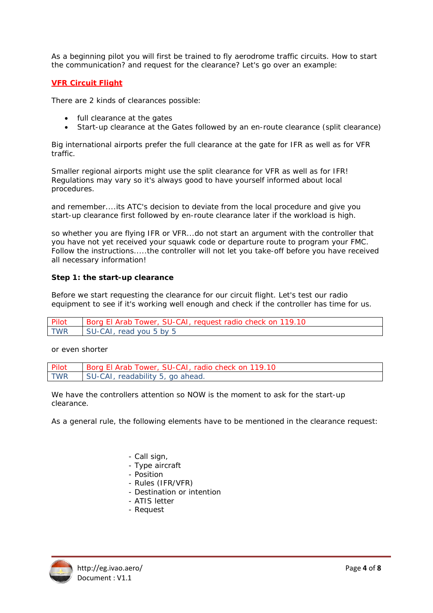As a beginning pilot you will first be trained to fly aerodrome traffic circuits. How to start the communication? and request for the clearance? Let's go over an example:

## **VFR Circuit Flight**

There are 2 kinds of clearances possible:

- full clearance at the gates
- Start-up clearance at the Gates followed by an en-route clearance (split clearance)

Big international airports prefer the full clearance at the gate for IFR as well as for VFR traffic.

Smaller regional airports might use the split clearance for VFR as well as for IFR! Regulations may vary so it's always good to have yourself informed about local procedures.

and remember....its ATC's decision to deviate from the local procedure and give you start-up clearance first followed by en-route clearance later if the workload is high.

so whether you are flying IFR or VFR...do not start an argument with the controller that you have not yet received your squawk code or departure route to program your FMC. Follow the instructions.....the controller will not let you take-off before you have received all necessary information!

#### **Step 1: the start-up clearance**

Before we start requesting the clearance for our circuit flight. Let's test our radio equipment to see if it's working well enough and check if the controller has time for us.

| Pilot      | Borg El Arab Tower, SU-CAI, request radio check on 119.10 |
|------------|-----------------------------------------------------------|
| <b>TWR</b> | SU-CAI, read you 5 by 5                                   |

or even shorter

| Pilot      | Borg El Arab Tower, SU-CAI, radio check on 119.10 |
|------------|---------------------------------------------------|
| <b>TWR</b> | SU-CAI, readability 5, go ahead.                  |

We have the controllers attention so NOW is the moment to ask for the start-up clearance.

As a general rule, the following elements have to be mentioned in the clearance request:

- *Call sign,*
- *Type aircraft*
- *Position*
- *Rules (IFR/VFR)*
- *Destination or intention*
- *ATIS letter*
- *Request*

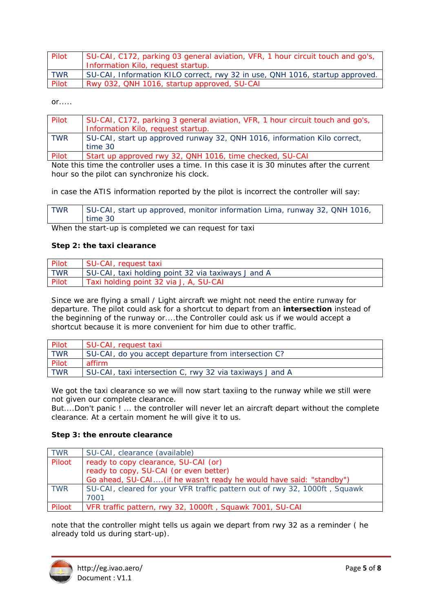| Pilot      | SU-CAI, C172, parking 03 general aviation, VFR, 1 hour circuit touch and go's, |
|------------|--------------------------------------------------------------------------------|
|            | Information Kilo, request startup.                                             |
| <b>TWR</b> | SU-CAI, Information KILO correct, rwy 32 in use, QNH 1016, startup approved.   |
| Pilot      | Rwy 032, QNH 1016, startup approved, SU-CAI                                    |

 $or...$ 

| Pilot      | SU-CAI, C172, parking 3 general aviation, VFR, 1 hour circuit touch and go's, |
|------------|-------------------------------------------------------------------------------|
|            | Information Kilo, request startup.                                            |
| <b>TWR</b> | SU-CAI, start up approved runway 32, QNH 1016, information Kilo correct,      |
|            | time 30                                                                       |
| Pilot      | Start up approved rwy 32, QNH 1016, time checked, SU-CAI                      |

Note this time the controller uses a time. In this case it is 30 minutes after the current hour so the pilot can synchronize his clock.

in case the ATIS information reported by the pilot is incorrect the controller will say:

| <b>TWR</b> | SU-CAI, start up approved, monitor information Lima, runway 32, QNH 1016, |
|------------|---------------------------------------------------------------------------|
|            | time 30                                                                   |

When the start-up is completed we can request for taxi

### **Step 2: the taxi clearance**

| Pilot      | SU-CAI, request taxi                               |
|------------|----------------------------------------------------|
| <b>TWR</b> | SU-CAI, taxi holding point 32 via taxiways J and A |
| Pilot      | Taxi holding point 32 via J, A, SU-CAI             |

Since we are flying a small / Light aircraft we might not need the entire runway for departure. The pilot could ask for a shortcut to depart from an **intersection** instead of the beginning of the runway or....the Controller could ask us if we would accept a shortcut because it is more convenient for him due to other traffic.

| Pilot      | SU-CAI, request taxi                                     |
|------------|----------------------------------------------------------|
| <b>TWR</b> | SU-CAI, do you accept departure from intersection C?     |
| Pilot      | affirm                                                   |
| <b>TWR</b> | SU-CAI, taxi intersection C, rwy 32 via taxiways J and A |

We got the taxi clearance so we will now start taxiing to the runway while we still were not given our complete clearance.

But....Don't panic ! ... the controller will never let an aircraft depart without the complete clearance. At a certain moment he will give it to us.

## **Step 3: the enroute clearance**

| <b>TWR</b> | SU-CAI, clearance (available)                                              |
|------------|----------------------------------------------------------------------------|
| Piloot     | ready to copy clearance, SU-CAI (or)                                       |
|            | ready to copy, SU-CAI (or even better)                                     |
|            | Go ahead, SU-CAI (if he wasn't ready he would have said: "standby")        |
| <b>TWR</b> | SU-CAI, cleared for your VFR traffic pattern out of rwy 32, 1000ft, Squawk |
|            | 7001                                                                       |
| Piloot     | VFR traffic pattern, rwy 32, 1000ft, Squawk 7001, SU-CAI                   |

note that the controller might tells us again we depart from rwy 32 as a reminder ( he already told us during start-up).

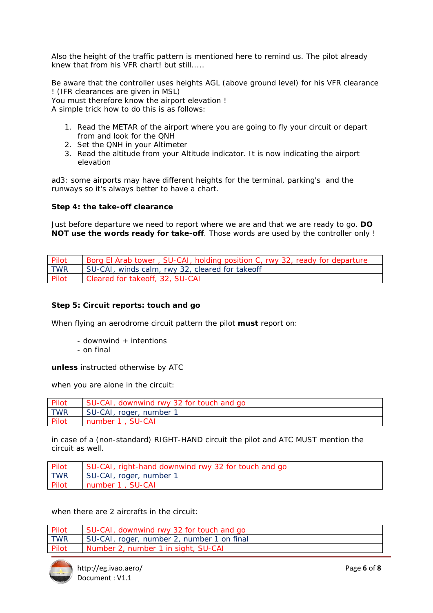Also the height of the traffic pattern is mentioned here to remind us. The pilot already knew that from his VFR chart! but still.....

Be aware that the controller uses heights AGL (above ground level) for his VFR clearance ! (IFR clearances are given in MSL) You must therefore know the airport elevation !

A simple trick how to do this is as follows:

- 1. Read the METAR of the airport where you are going to fly your circuit or depart from and look for the QNH
- 2. Set the QNH in your Altimeter
- 3. Read the altitude from your Altitude indicator. It is now indicating the airport elevation

ad3: some airports may have different heights for the terminal, parking's and the runways so it's always better to have a chart.

### **Step 4: the take-off clearance**

Just before departure we need to report where we are and that we are ready to go. **DO NOT use the words ready for take-off**. Those words are used by the controller only !

| Pilot      | Borg El Arab tower, SU-CAI, holding position C, rwy 32, ready for departure |
|------------|-----------------------------------------------------------------------------|
| <b>TWR</b> | SU-CAI, winds calm, rwy 32, cleared for takeoff                             |
| Pilot      | Cleared for takeoff, 32, SU-CAI                                             |

## **Step 5: Circuit reports: touch and go**

When flying an aerodrome circuit pattern the pilot **must** report on:

- $-$  downwind  $+$  intentions
- on final

**unless** instructed otherwise by ATC

*when you are alone in the circuit:* 

| Pilot      | SU-CAI, downwind rwy 32 for touch and go |
|------------|------------------------------------------|
| <b>TWR</b> | SU-CAI, roger, number 1                  |
| Pilot      | number 1, SU-CAI                         |

in case of a (non-standard) RIGHT-HAND circuit the pilot and ATC MUST mention the circuit as well.

| Pilot      | SU-CAI, right-hand downwind rwy 32 for touch and go |
|------------|-----------------------------------------------------|
| <b>TWR</b> | SU-CAI, roger, number 1                             |
| Pilot      | I number 1, SU-CAI                                  |

*when there are 2 aircrafts in the circuit:* 

| Pilot      | SU-CAI, downwind rwy 32 for touch and go   |
|------------|--------------------------------------------|
| <b>TWR</b> | SU-CAI, roger, number 2, number 1 on final |
| Pilot      | Number 2, number 1 in sight, SU-CAI        |

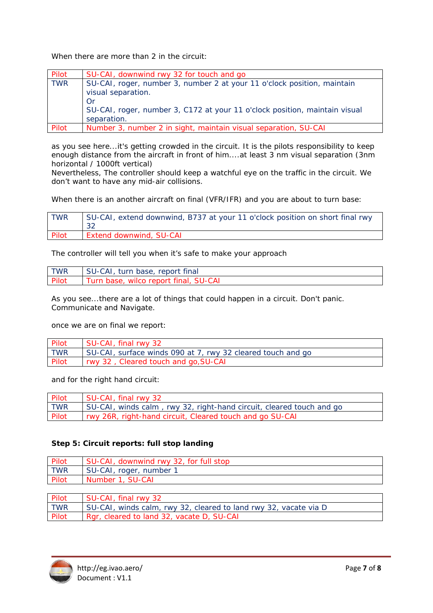*When there are more than 2 in the circuit:* 

| Pilot      | SU-CAI, downwind rwy 32 for touch and go                                   |
|------------|----------------------------------------------------------------------------|
| <b>TWR</b> | SU-CAI, roger, number 3, number 2 at your 11 o'clock position, maintain    |
|            | visual separation.                                                         |
|            | Or                                                                         |
|            | SU-CAI, roger, number 3, C172 at your 11 o'clock position, maintain visual |
|            | separation.                                                                |
| Pilot      | Number 3, number 2 in sight, maintain visual separation, SU-CAI            |

as you see here...it's getting crowded in the circuit. It is the pilots responsibility to keep enough distance from the aircraft in front of him....at least 3 nm visual separation (3nm horizontal / 1000ft vertical)

Nevertheless, The controller should keep a watchful eye on the traffic in the circuit. We don't want to have any mid-air collisions.

*When there is an another aircraft on final (VFR/IFR) and you are about to turn base:* 

| <b>TWR</b> | SU-CAI, extend downwind, B737 at your 11 o'clock position on short final rwy |
|------------|------------------------------------------------------------------------------|
| Pilot      | <b>Extend downwind, SU-CAI</b>                                               |

The controller will tell you when it's safe to make your approach

| <b>TWR</b> | SU-CAI, turn base, report final       |
|------------|---------------------------------------|
| Pilot      | Turn base, wilco report final, SU-CAI |

As you see...there are a lot of things that could happen in a circuit. Don't panic. Communicate and Navigate.

once we are on final we report:

| Pilot      | SU-CAI, final rwy 32                                        |
|------------|-------------------------------------------------------------|
| <b>TWR</b> | SU-CAI, surface winds 090 at 7, rwy 32 cleared touch and go |
| Pilot      | rwy 32, Cleared touch and go, SU-CAI                        |

and for the right hand circuit:

| Pilot      | SU-CAI, final rwy 32                                                 |
|------------|----------------------------------------------------------------------|
| <b>TWR</b> | SU-CAI, winds calm, rwy 32, right-hand circuit, cleared touch and go |
| Pilot      | rwy 26R, right-hand circuit, Cleared touch and go SU-CAI             |

## **Step 5: Circuit reports: full stop landing**

| Pilot      | SU-CAI, downwind rwy 32, for full stop |
|------------|----------------------------------------|
| <b>TWR</b> | SU-CAI, roger, number 1                |
| Pilot      | Number 1, SU-CAI                       |
|            |                                        |

| Pilot      | SU-CAI, final rwy 32                                             |
|------------|------------------------------------------------------------------|
| <b>TWR</b> | SU-CAI, winds calm, rwy 32, cleared to land rwy 32, vacate via D |
| Pilot      | Rgr, cleared to land 32, vacate D, SU-CAI                        |